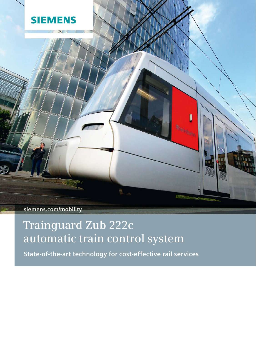

**siemens.com/mobility**

# **Trainguard Zub 222c automatic train control system**

**State-of-the-art technology for cost-effective rail services**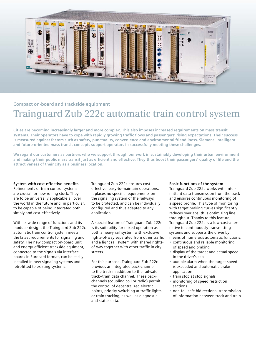

# **Compact on-board and trackside equipment Trainguard Zub 222c automatic train control system**

**Cities are becoming increasingly larger and more complex. This also imposes increased requirements on mass transit systems. Their operators have to cope with rapidly growing traffic flows and passengers' rising expectations. Their success is measured against factors such as safety, punctuality, convenience and environmental friendliness. Siemens' intelligent and future-oriented mass transit concepts support operators in successfully meeting these challenges.**

**We regard our customers as partners who we support through our work in sustainably developing their urban environment and making their public mass transit just as efficient and effective. They thus boost their passengers' quality of life and the attractiveness of their city as a business location.**

# **System with cost-effective benefits**

Refinements of train control systems are crucial for new rolling stock. They are to be universally applicable all over the world in the future and, in particular, to be capable of being integrated both simply and cost-effectively.

With its wide range of functions and its modular design, the Trainguard Zub 222c automatic train control system meets the latest requirements for signaling and safety. The new compact on-board unit and energy-efficient trackside equiment, connected to the signals via interface boards in Eurocard format, can be easily installed in new signaling systems and retrofitted to existing systems.

Trainguard Zub 222c ensures costeffective, easy-to-maintain operations. It places no specific requirements on the signaling system of the railways to be protected, and can be individually configured and thus adapted to any application.

A special feature of Trainguard Zub 222c is its suitability for mixed operation as both a heavy rail system with exclusive rights-of-way separated from other traffic and a light rail system with shared rightsof-way together with other traffic in city streets.

For this purpose, Trainguard Zub 222c provides an integrated back-channel to the track in addition to the fail-safe track–train data channel. These backchannels (coupling coil or radio) permit the control of decentralized electric points, priority switching at traffic lights, or train tracking, as well as diagnostic and status data.

#### **Basic functions of the system**

Trainguard Zub 222c works with intermittent data transmission from the track and ensures continuous monitoring of a speed profile. This type of monitoring with target braking curves significantly reduces overlaps, thus optimizing line throughput. Thanks to this feature, Trainguard Zub 222c is a low-cost-alternative to continuously transmitting systems and supports the driver by means of numerous automatic functions:

- continuous and reliable monitoring of speed and braking
- display of the target and actual speed in the driver's cab
- audible alarm when the target speed is exceeded and automatic brake application
- train stop at stop signals
- monitoring of speed restriction sections
- non-fail-safe bidirectional transmission of information between track and train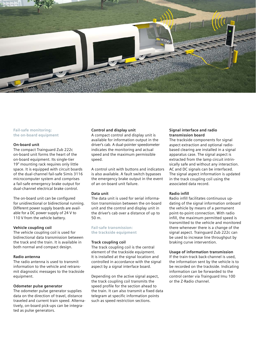

#### **Fail-safe monitoring: the on-board equipment**

#### **On-board unit**

The compact Trainguard Zub 222c on-board unit forms the heart of the on-board equipment. Its single-tier 19" mounting rack requires only little space. It is equipped with circuit boards of the dual-channel fail-safe Simis 3116 microcomputer system and comprises a fail-safe emergency brake output for dual-channel electrical brake control.

The on-board unit can be configured for unidirectional or bidirectional running. Different power supply boards are available for a DC power supply of 24 V to 110 V from the vehicle battery.

#### **Vehicle coupling coil**

The vehicle coupling coil is used for bidirectional data transmission between the track and the train. It is available in both normal and compact design.

#### **Radio antenna**

The radio antenna is used to transmit information to the vehicle and retransmit diagnostic messages to the trackside equipment.

#### **Odometer pulse generator**

The odometer pulse generator supplies data on the direction of travel, distance traveled and current train speed. Alternatively, on-board pick-ups can be integrated as pulse generators.

# **Control and display unit**

A compact control and display unit is available for information output in the driver's cab. A dual-pointer speedometer indicates the monitoring and actual speed and the maximum permissible speed.

A control unit with buttons and indicators is also available. A fault switch bypasses the emergency brake output in the event of an on-board unit failure.

#### **Data unit**

The data unit is used for serial information transmission between the on-board unit and the control and display unit in the driver's cab over a distance of up to 50 m.

#### **Fail-safe transmission: the trackside equipment**

# **Track coupling coil**

The track coupling coil is the central element of the trackside equipment. It is installed at the signal location and controlled in accordance with the signal aspect by a signal interface board.

Depending on the active signal aspect, the track coupling coil transmits the speed profile for the section ahead to the train. It can also transmit a fixed data telegram at specific information points such as speed restriction sections.

# **Signal interface and radio transmission board**

The trackside components for signal aspect extraction and optional radiobased clearing are installed in a signal apparatus case. The signal aspect is extracted from the lamp circuit intrinsically safe and without any interaction. AC and DC signals can be interfaced. The signal aspect information is updated in the track coupling coil using the associated data record.

# **Radio infill**

Radio infill facilitates continuous updating of the signal information onboard the vehicle by means of a permanent point-to-point connection. With radio infill, the maximum permitted speed is transmitted to the vehicle and monitored there whenever there is a change of the signal aspect. Trainguard Zub 222c can be used to increase line throughput by braking curve intervention.

# **Usage of information transmission**

If the train-track back-channel is used, the information sent by the vehicle is to be recorded on the trackside. Indicating information can be forwarded to the control center via Trainguard Imu 100 or the Z-Radio channel.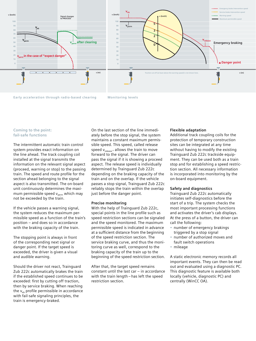

**Early acceleration through radio-based clearing Monitoring levels**

#### **Coming to the point: fail-safe functions**

The intermittent automatic train control system provides exact information on the line ahead. The track coupling coil installed at the signal transmits the information on the relevant signal aspect (proceed, warning or stop) to the passing train. The speed and route profile for the section ahead belonging to the signal aspect is also transmitted. The on-board unit continuously determines the maximum permissible speed  $v_{\text{perm}}$  which may not be exceeded by the train.

If the vehicle passes a warning signal, the system reduces the maximum permissible speed as a function of the train's position – and does so in accordance with the braking capacity of the train.

The stopping point is always in front of the corresponding next signal or danger point. If the target speed is exceeded, the driver is given a visual and audible warning.

Should the driver not react, Trainguard Zub 222c automatically brakes the train if the established speed continues to be exceeded: first by cutting off traction, then by service braking. When reaching the  $v_{ab}$  profile permissible in accordance with fail-safe signaling principles, the train is emergency-braked.

On the last section of the line immediately before the stop signal, the system maintains a constant maximum permissible speed. This speed, called release speed  $V_{\text{release}}$ , allows the train to move forward to the signal. The driver can pass the signal if it is showing a proceed aspect. The release speed is individually determined by Trainguard Zub 222c depending on the braking capacity of the train and on the overlap. If the vehicle passes a stop signal, Trainguard Zub 222c reliably stops the train within the overlap just before the danger point.

#### **Precise monitoring**

With the help of Trainguard Zub 222c, special points in the line profile such as speed restriction sections can be signaled and the speed monitored. The maximum permissible speed is indicated in advance at a sufficient distance from the beginning of the speed restriction section. The service braking curve, and thus the monitoring curve as well, correspond to the braking capacity of the train up to the beginning of the speed restriction section.

After that, the target speed remains constant until the last car – in accordance with the train length – has left the speed restriction section.

#### **Flexible adaptation**

Additional track coupling coils for the protection of temporary construction sites can be integrated at any time without having to modify the existing Trainguard Zub 222c trackside equipment. They can be used both as a train stop and for establishing a speed restriction section. All necessary information is incorporated into monitoring by the on-board equipment.

#### **Safety and diagnostics**

Trainguard Zub 222c automatically initiates self-diagnostics before the start of a trip. The system checks the most important processing functions and activates the driver's cab displays. At the press of a button, the driver can call the following:

- number of emergency brakings triggered by a stop signal
- number of authorized moves and fault switch operations
- mileage

A static electronic memory records all important events. They can then be read out and evaluated using a diagnostic PC. This diagnostic feature is available both locally (vehicle, diagnostic PC) and centrally (WinCC OA).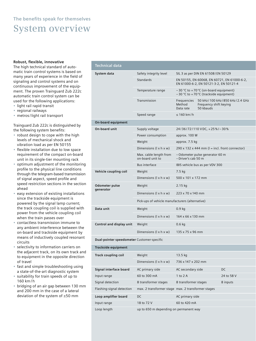# **The benefits speak for themselves System overview**

#### **Robust, flexible, innovative**

The high technical standard of automatic train control systems is based on many years of experience in the field of signaling and control systems and on continuous improvement of the equipment. The proven Trainguard Zub 222c automatic train control system can be used for the following applications:

- light rail rapid transit
- regional railways
- metros / light rail transport

Trainguard Zub 222c is distinguished by the following system benefits:

- robust design to cope with the high levels of mechanical shock and vibration load as per EN 50155
- flexible installation due to low space requirement of the compact on-board unit in its single-tier mounting rack
- optimum adjustment of the monitoring profile to the physical line conditions through the telegram-based transmission of signal aspect, speed profile and speed restriction sections in the section ahead
- easy extension of existing installations since the trackside equipment is powered by the signal lamp current; the track coupling coil is supplied with power from the vehicle coupling coil when the train passes over
- contactless transmission immune to any ambient interference between the on-board and trackside equipment by means of inductively coupled resonant circuits
- selectivity to information carriers on the adjacent track, on its own track and to equipment in the opposite direction of travel
- fast and simple troubleshooting using a state-of-the-art diagnostic system
- suitability for train speeds of up to 160 km / h
- bridging of an air gap between 130 mm and 200 mm in the case of a lateral deviation of the system of ±50 mm

| <b>Technical data</b>       |                                                 |                                                                                       |                                                                             |
|-----------------------------|-------------------------------------------------|---------------------------------------------------------------------------------------|-----------------------------------------------------------------------------|
| System data                 | Safety integrity level                          | SIL 3 as per DIN EN 61508/EN 50129                                                    |                                                                             |
|                             | <b>Standards</b>                                | EN 50155, EN 60068, EN 60721, EN 61000-6-2,<br>EN 61000-6-2, EN 50121-3-2, EN 50121-4 |                                                                             |
|                             | Temperature range                               | $-30$ °C to +70 °C (on-board equipment)<br>$-30$ °C to +70 °C (trackside equipment)   |                                                                             |
|                             | Transmission                                    | Frequencies<br>Method<br>Data rate                                                    | 50 kHz / 100 kHz / 850 kHz / 2.4 GHz<br>Frequency shift keying<br>50 kbauds |
|                             | Speed range                                     | $\leq 160$ km/h                                                                       |                                                                             |
| On-board equipment          |                                                 |                                                                                       |                                                                             |
| On-board unit               | Supply voltage                                  | 24/36/72/110 VDC, +25%/-30%                                                           |                                                                             |
|                             | Power consumption                               | approx. 100 W                                                                         |                                                                             |
|                             | Weight                                          | approx. 7.5 kg                                                                        |                                                                             |
|                             | Dimensions $(l \times h \times w)$              | $290 \times 132 \times 444$ mm (I = incl. front connector)                            |                                                                             |
|                             | Max. cable length from<br>on-board unit to      | - Odometer pulse generator 60 m<br>$-$ Driver's cab 50 m                              |                                                                             |
|                             | <b>Bus interface</b>                            | IBIS vehicle bus as per VDV 300                                                       |                                                                             |
| Vehicle coupling coil       | Weight                                          | 7.5 kg                                                                                |                                                                             |
|                             | Dimensions $(l \times h \times w)$              | 500 x 101 x 172 mm                                                                    |                                                                             |
| Odometer pulse<br>qenerator | Weight                                          | 2.15 kg                                                                               |                                                                             |
|                             | Dimensions $(l \times h \times w)$              | 223 x 70 x 140 mm                                                                     |                                                                             |
|                             | Pick-ups of vehicle manufacturers (alternative) |                                                                                       |                                                                             |
| Data unit                   | Weight                                          | 0.9 <sub>kg</sub>                                                                     |                                                                             |
|                             | Dimensions $(l \times h \times w)$              | 164 x 66 x 130 mm                                                                     |                                                                             |
| Control and display unit    | Weight                                          | $0.6$ kg                                                                              |                                                                             |
|                             | Dimensions $(l \times h \times w)$              | 135 x 75 x 96 mm                                                                      |                                                                             |
|                             |                                                 |                                                                                       |                                                                             |

**Dual-pointer speedometer** Customer-specific

| Trackside equipment       |                                                    |                      |            |  |
|---------------------------|----------------------------------------------------|----------------------|------------|--|
| Track coupling coil       | Weight                                             | $13.5 \text{ kg}$    |            |  |
|                           | Dimensions $(l \times h \times w)$                 | 736 x 147 x 202 mm   |            |  |
| Signal interface board    | AC primary side                                    | AC secondary side    | DC.        |  |
| Input range               | 60 to 300 mA                                       | 1 to $2$ A           | 24 to 58 V |  |
| Signal detection          | 8 transformer stages                               | 8 transformer stages | 8 inputs   |  |
| Flashing-signal detection | max. 2 transformer stage max. 2 transformer stages |                      |            |  |
| Loop amplifier board      | DC.                                                | AC primary side      |            |  |
| Input range               | 18 to 72 V                                         | 60 to 420 mA         |            |  |
| Loop length               | up to 650 m depending on permanent way             |                      |            |  |